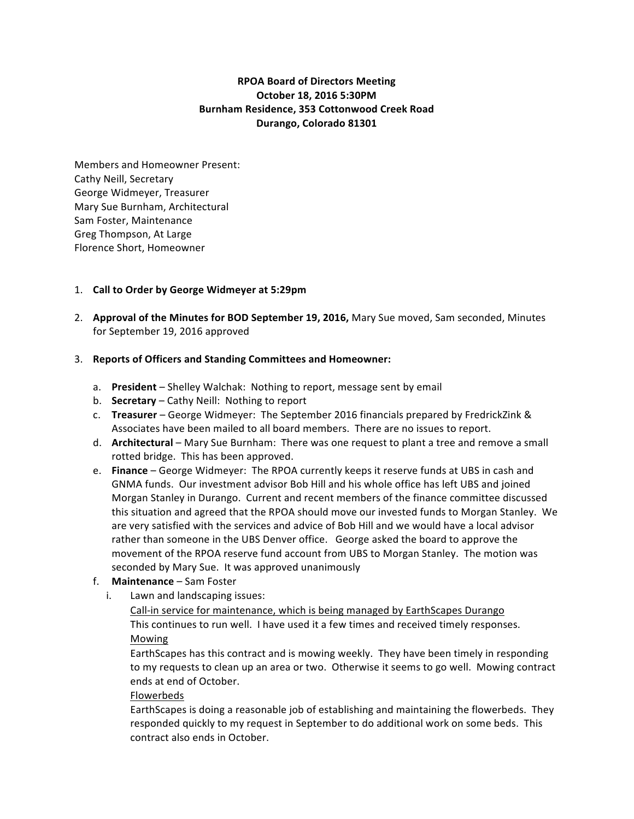# **RPOA Board of Directors Meeting October 18, 2016 5:30PM Burnham Residence, 353 Cottonwood Creek Road Durango, Colorado 81301**

Members and Homeowner Present: Cathy Neill, Secretary George Widmeyer, Treasurer Mary Sue Burnham, Architectural Sam Foster, Maintenance Greg Thompson, At Large Florence Short, Homeowner

## 1. Call to Order by George Widmeyer at 5:29pm

2. Approval of the Minutes for BOD September 19, 2016, Mary Sue moved, Sam seconded, Minutes for September 19, 2016 approved

#### 3. **Reports of Officers and Standing Committees and Homeowner:**

- a. **President** Shelley Walchak: Nothing to report, message sent by email
- b. **Secretary** Cathy Neill: Nothing to report
- c. **Treasurer** George Widmeyer: The September 2016 financials prepared by FredrickZink & Associates have been mailed to all board members. There are no issues to report.
- d. **Architectural** Mary Sue Burnham: There was one request to plant a tree and remove a small rotted bridge. This has been approved.
- e. **Finance** George Widmeyer: The RPOA currently keeps it reserve funds at UBS in cash and GNMA funds. Our investment advisor Bob Hill and his whole office has left UBS and joined Morgan Stanley in Durango. Current and recent members of the finance committee discussed this situation and agreed that the RPOA should move our invested funds to Morgan Stanley. We are very satisfied with the services and advice of Bob Hill and we would have a local advisor rather than someone in the UBS Denver office. George asked the board to approve the movement of the RPOA reserve fund account from UBS to Morgan Stanley. The motion was seconded by Mary Sue. It was approved unanimously
- f. **Maintenance** Sam Foster
	- i. Lawn and landscaping issues:

Call-in service for maintenance, which is being managed by EarthScapes Durango This continues to run well. I have used it a few times and received timely responses. Mowing

EarthScapes has this contract and is mowing weekly. They have been timely in responding to my requests to clean up an area or two. Otherwise it seems to go well. Mowing contract ends at end of October.

#### Flowerbeds

EarthScapes is doing a reasonable job of establishing and maintaining the flowerbeds. They responded quickly to my request in September to do additional work on some beds. This contract also ends in October.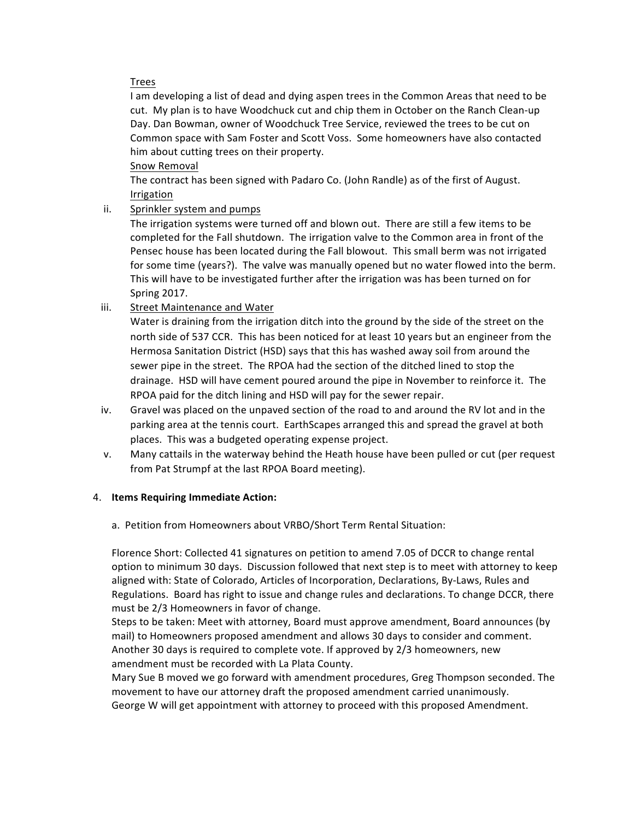## Trees

I am developing a list of dead and dying aspen trees in the Common Areas that need to be cut. My plan is to have Woodchuck cut and chip them in October on the Ranch Clean-up Day. Dan Bowman, owner of Woodchuck Tree Service, reviewed the trees to be cut on Common space with Sam Foster and Scott Voss. Some homeowners have also contacted him about cutting trees on their property.

Snow Removal

The contract has been signed with Padaro Co. (John Randle) as of the first of August. Irrigation

ii. Sprinkler system and pumps

The irrigation systems were turned off and blown out. There are still a few items to be completed for the Fall shutdown. The irrigation valve to the Common area in front of the Pensec house has been located during the Fall blowout. This small berm was not irrigated for some time (years?). The valve was manually opened but no water flowed into the berm. This will have to be investigated further after the irrigation was has been turned on for Spring 2017.

iii. Street Maintenance and Water

Water is draining from the irrigation ditch into the ground by the side of the street on the north side of 537 CCR. This has been noticed for at least 10 years but an engineer from the Hermosa Sanitation District (HSD) says that this has washed away soil from around the sewer pipe in the street. The RPOA had the section of the ditched lined to stop the drainage. HSD will have cement poured around the pipe in November to reinforce it. The RPOA paid for the ditch lining and HSD will pay for the sewer repair.

- iv. Gravel was placed on the unpaved section of the road to and around the RV lot and in the parking area at the tennis court. EarthScapes arranged this and spread the gravel at both places. This was a budgeted operating expense project.
- v. Many cattails in the waterway behind the Heath house have been pulled or cut (per request from Pat Strumpf at the last RPOA Board meeting).

## 4. **Items Requiring Immediate Action:**

a. Petition from Homeowners about VRBO/Short Term Rental Situation:

Florence Short: Collected 41 signatures on petition to amend 7.05 of DCCR to change rental option to minimum 30 days. Discussion followed that next step is to meet with attorney to keep aligned with: State of Colorado, Articles of Incorporation, Declarations, By-Laws, Rules and Regulations. Board has right to issue and change rules and declarations. To change DCCR, there must be 2/3 Homeowners in favor of change.

Steps to be taken: Meet with attorney, Board must approve amendment, Board announces (by mail) to Homeowners proposed amendment and allows 30 days to consider and comment. Another 30 days is required to complete vote. If approved by 2/3 homeowners, new amendment must be recorded with La Plata County.

Mary Sue B moved we go forward with amendment procedures, Greg Thompson seconded. The movement to have our attorney draft the proposed amendment carried unanimously.

George W will get appointment with attorney to proceed with this proposed Amendment.